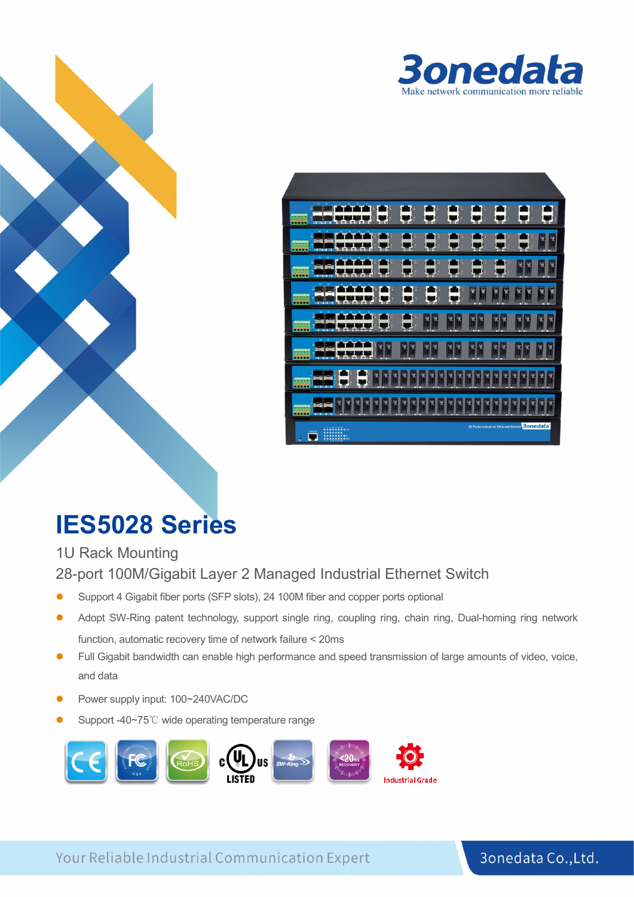

| o<br><b>STETETE</b><br>---                            |             |                   |           |          |      |                                              |        |
|-------------------------------------------------------|-------------|-------------------|-----------|----------|------|----------------------------------------------|--------|
| 8"6"6"5"6<br>.<br><b>Sellen</b> Kore<br><b>The Co</b> |             | 70271             |           |          | רותי |                                              | ¥      |
| <b>ATAPATATA</b><br><b>10000</b><br>÷                 | -99-1       |                   |           |          |      |                                              | ř      |
| $\alpha$<br>$\sim$<br>arararara<br>.<br>$\frac{1}{2}$ |             |                   |           | mo       | mm   | ma                                           | ٩<br>n |
| <b>ATATATATA</b><br><b>.</b><br>÷<br>133.33           | <b>CRES</b> | ᄖ<br><b>THE R</b> |           |          |      |                                              |        |
| <b>ATATATATA</b><br><b>10000</b><br><b>AGE SEE</b>    | 78 T        | - - - -           | $-31 - 1$ | $\cdots$ |      |                                              | X      |
| .<br><b>Doc</b><br><b>Girl Mit</b>                    |             |                   |           |          |      |                                              | π      |
| <b>ATEMATES</b>                                       |             |                   |           |          |      |                                              | X      |
| 黒の<br>и<br><b>TESSES</b><br>A,<br>ь                   |             |                   |           |          |      | 28 Ports Industrial Ethernet Switch 3onedata |        |

# **IES5028 Series**

1U Rack Mounting 28-port 100M/Gigabit Layer 2 Managed Industrial Ethernet Switch

- Support 4 Gigabit fiber ports (SFP slots), 24 100M fiber and copper ports optional
- Adopt SW-Ring patent technology, support single ring, coupling ring, chain ring, Dual-homing ring network function, automatic recovery time of network failure < 20ms
- Full Gigabit bandwidth can enable high performance and speed transmission of large amounts of video, voice, and data
- Power supply input: 100~240VAC/DC
- Support -40~75℃ wide operating temperature range



Your Reliable Industrial Communication Expert

#### 3onedata Co., Ltd.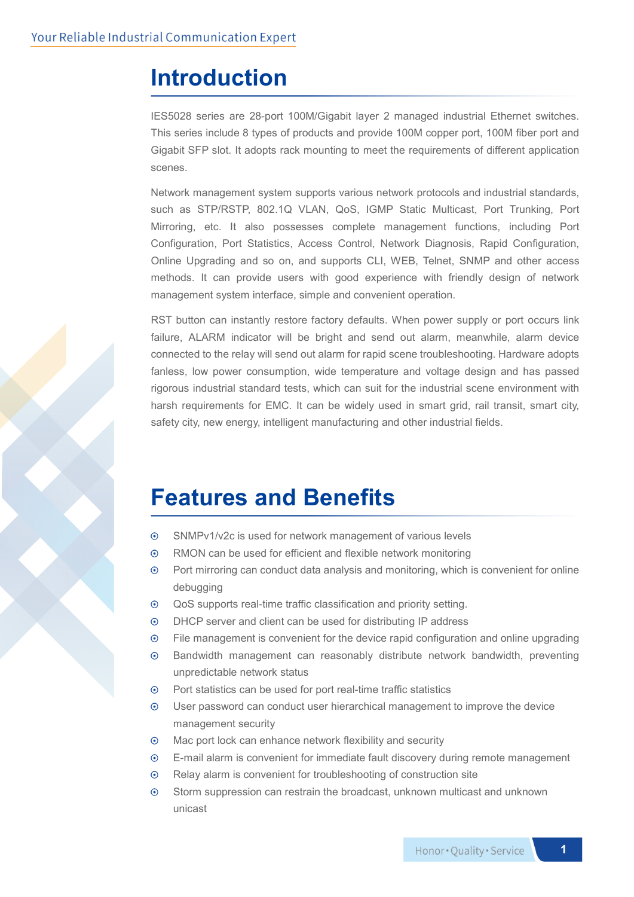### **Introduction**

IES5028 series are 28-port 100M/Gigabit layer 2 managed industrial Ethernet switches. This series include 8 types of products and provide 100M copper port, 100M fiber port and Gigabit SFP slot. It adopts rack mounting to meet the requirements of different application scenes.

Network management system supports various network protocols and industrial standards, such as STP/RSTP, 802.1Q VLAN, QoS, IGMP Static Multicast, Port Trunking, Port Mirroring, etc. It also possesses complete management functions, including Port Configuration, Port Statistics, Access Control, Network Diagnosis, Rapid Configuration, Online Upgrading and so on, and supports CLI, WEB, Telnet, SNMP and other access methods. It can provide users with good experience with friendly design of network management system interface, simple and convenient operation.

RST button can instantly restore factory defaults. When power supply or port occurs link failure, ALARM indicator will be bright and send out alarm, meanwhile, alarm device connected to the relay will send out alarm for rapid scene troubleshooting. Hardware adopts fanless, low power consumption, wide temperature and voltage design and has passed rigorous industrial standard tests, which can suit for the industrial scene environment with harsh requirements for EMC. It can be widely used in smart grid, rail transit, smart city, safety city, new energy, intelligent manufacturing and other industrial fields.

### **Features and Benefits**

- $\odot$ SNMPv1/v2c is used for network management of various levels
- $\odot$ RMON can be used for efficient and flexible network monitoring
- $\odot$ Port mirroring can conduct data analysis and monitoring, which is convenient for online debugging
- QoS supports real-time traffic classification and priority setting.  $\odot$
- $\odot$ DHCP server and client can be used for distributing IP address
- $\odot$ File management is convenient for the device rapid configuration and online upgrading
- $\odot$ Bandwidth management can reasonably distribute network bandwidth, preventing unpredictable network status
- Port statistics can be used for port real-time traffic statistics  $\odot$
- $\odot$ User password can conduct user hierarchical management to improve the device management security
- $\odot$ Mac port lock can enhance network flexibility and security
- E-mail alarm is convenient for immediate fault discovery during remote management  $\odot$
- $\odot$ Relay alarm is convenient for troubleshooting of construction site
- Storm suppression can restrain the broadcast, unknown multicast and unknown  $\odot$ unicast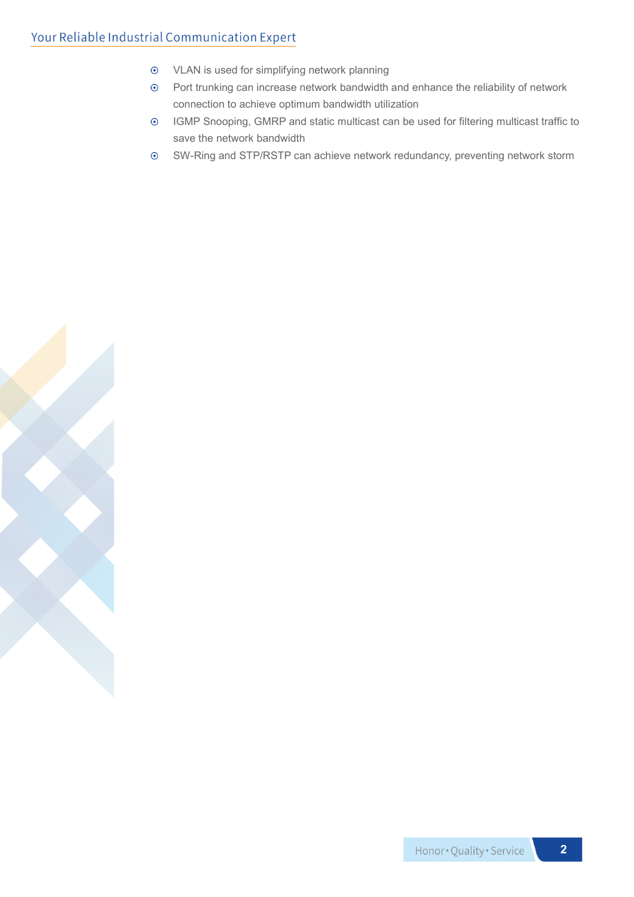#### Your Reliable Industrial Communication Expert

- VLAN is used for simplifying network planning
- Port trunking can increase network bandwidth and enhance the reliability of network connection to achieve optimum bandwidth utilization
- IGMP Snooping, GMRP and static multicast can be used for filtering multicast traffic to save the network bandwidth
- SW-Ring and STP/RSTP can achieve network redundancy, preventing network storm

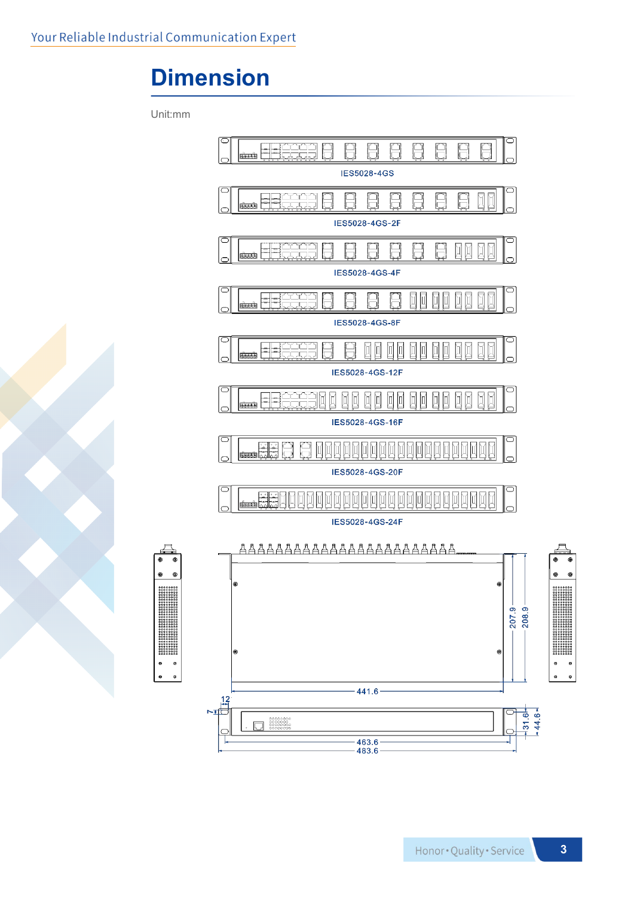### **Dimension**

Unit:mm

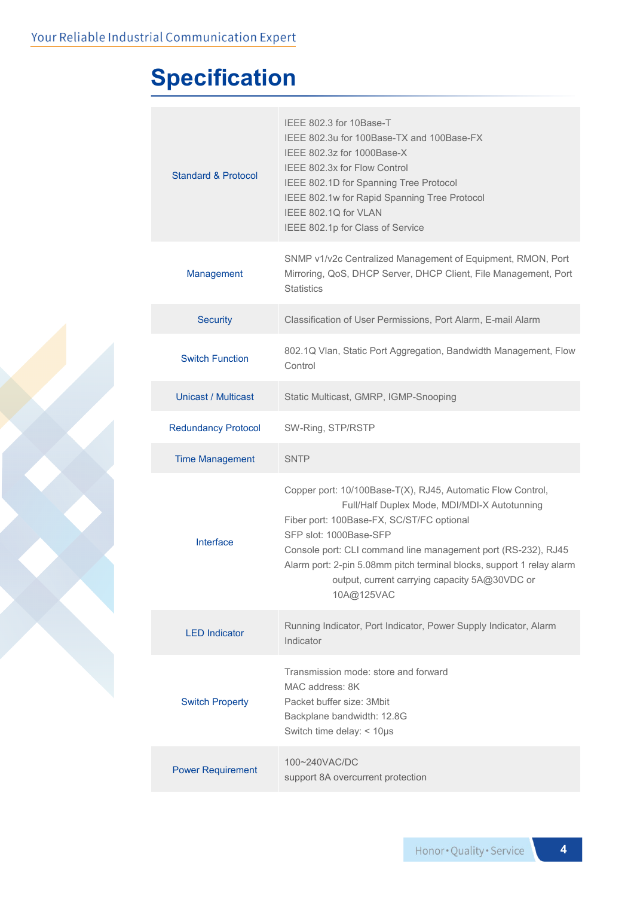## **Specification**

| Standard & Protocol        | IEEE 802.3 for 10Base-T<br>IEEE 802.3u for 100Base-TX and 100Base-FX<br>IEEE 802.3z for 1000Base-X<br>IEEE 802.3x for Flow Control<br>IEEE 802.1D for Spanning Tree Protocol<br>IEEE 802.1w for Rapid Spanning Tree Protocol<br>IEEE 802.1Q for VLAN<br>IEEE 802.1p for Class of Service                                                                                                    |
|----------------------------|---------------------------------------------------------------------------------------------------------------------------------------------------------------------------------------------------------------------------------------------------------------------------------------------------------------------------------------------------------------------------------------------|
| Management                 | SNMP v1/v2c Centralized Management of Equipment, RMON, Port<br>Mirroring, QoS, DHCP Server, DHCP Client, File Management, Port<br><b>Statistics</b>                                                                                                                                                                                                                                         |
| <b>Security</b>            | Classification of User Permissions, Port Alarm, E-mail Alarm                                                                                                                                                                                                                                                                                                                                |
| <b>Switch Function</b>     | 802.1Q Vlan, Static Port Aggregation, Bandwidth Management, Flow<br>Control                                                                                                                                                                                                                                                                                                                 |
| <b>Unicast / Multicast</b> | Static Multicast, GMRP, IGMP-Snooping                                                                                                                                                                                                                                                                                                                                                       |
| <b>Redundancy Protocol</b> | SW-Ring, STP/RSTP                                                                                                                                                                                                                                                                                                                                                                           |
| <b>Time Management</b>     | <b>SNTP</b>                                                                                                                                                                                                                                                                                                                                                                                 |
| Interface                  | Copper port: 10/100Base-T(X), RJ45, Automatic Flow Control,<br>Full/Half Duplex Mode, MDI/MDI-X Autotunning<br>Fiber port: 100Base-FX, SC/ST/FC optional<br>SFP slot: 1000Base-SFP<br>Console port: CLI command line management port (RS-232), RJ45<br>Alarm port: 2-pin 5.08mm pitch terminal blocks, support 1 relay alarm<br>output, current carrying capacity 5A@30VDC or<br>10A@125VAC |
| <b>LED</b> Indicator       | Running Indicator, Port Indicator, Power Supply Indicator, Alarm<br>Indicator                                                                                                                                                                                                                                                                                                               |
| <b>Switch Property</b>     | Transmission mode: store and forward<br>MAC address: 8K<br>Packet buffer size: 3Mbit<br>Backplane bandwidth: 12.8G<br>Switch time delay: < 10µs                                                                                                                                                                                                                                             |
| <b>Power Requirement</b>   | 100~240VAC/DC<br>support 8A overcurrent protection                                                                                                                                                                                                                                                                                                                                          |
|                            |                                                                                                                                                                                                                                                                                                                                                                                             |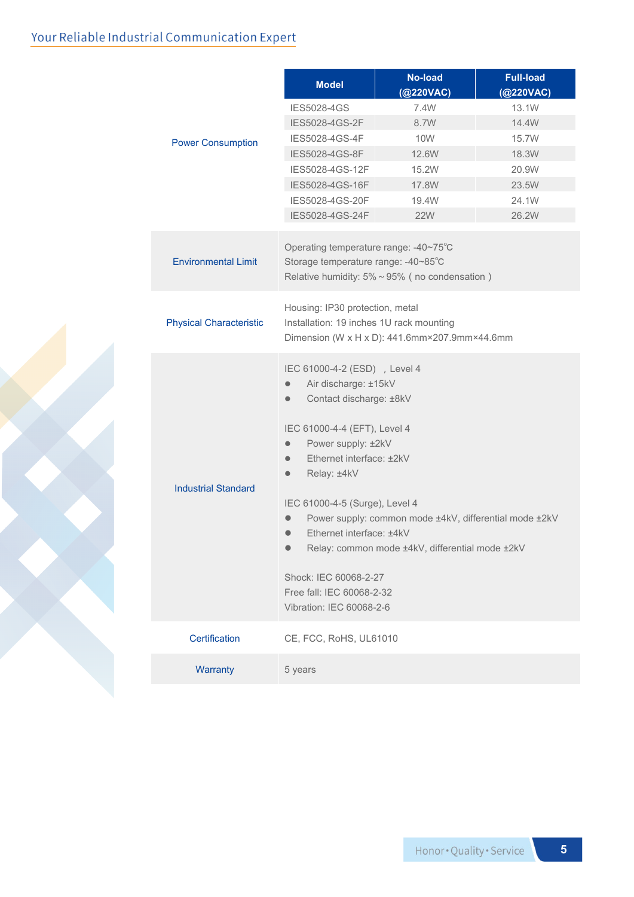#### Your Reliable Industrial Communication Expert

|                                | <b>Model</b>                                                                                                                                                                                                                                                                                                                                                                                                                                                | <b>No-load</b><br>(@220VAC) | <b>Full-load</b><br>(@220VAC) |  |
|--------------------------------|-------------------------------------------------------------------------------------------------------------------------------------------------------------------------------------------------------------------------------------------------------------------------------------------------------------------------------------------------------------------------------------------------------------------------------------------------------------|-----------------------------|-------------------------------|--|
| <b>Power Consumption</b>       | <b>IES5028-4GS</b>                                                                                                                                                                                                                                                                                                                                                                                                                                          | 7.4W                        | 13.1W                         |  |
|                                | IES5028-4GS-2F                                                                                                                                                                                                                                                                                                                                                                                                                                              | 8.7W                        | 14.4W                         |  |
|                                | IES5028-4GS-4F                                                                                                                                                                                                                                                                                                                                                                                                                                              | <b>10W</b>                  | 15.7W                         |  |
|                                | IES5028-4GS-8F                                                                                                                                                                                                                                                                                                                                                                                                                                              | 12.6W                       | 18.3W                         |  |
|                                | IES5028-4GS-12F                                                                                                                                                                                                                                                                                                                                                                                                                                             | 15.2W                       | 20.9W                         |  |
|                                | IES5028-4GS-16F                                                                                                                                                                                                                                                                                                                                                                                                                                             | 17.8W                       | 23.5W                         |  |
|                                | IES5028-4GS-20F                                                                                                                                                                                                                                                                                                                                                                                                                                             | 19.4W                       | 24.1W                         |  |
|                                | IES5028-4GS-24F                                                                                                                                                                                                                                                                                                                                                                                                                                             | <b>22W</b>                  | 26.2W                         |  |
| <b>Environmental Limit</b>     | Operating temperature range: -40~75°C<br>Storage temperature range: -40~85°C<br>Relative humidity: $5\% \sim 95\%$ (no condensation)                                                                                                                                                                                                                                                                                                                        |                             |                               |  |
| <b>Physical Characteristic</b> | Housing: IP30 protection, metal<br>Installation: 19 inches 1U rack mounting<br>Dimension (W x H x D): 441.6mm×207.9mm×44.6mm                                                                                                                                                                                                                                                                                                                                |                             |                               |  |
| <b>Industrial Standard</b>     | IEC 61000-4-2 (ESD) , Level 4<br>Air discharge: ±15kV<br>Contact discharge: ±8kV<br>IEC 61000-4-4 (EFT), Level 4<br>Power supply: ±2kV<br>Ethernet interface: ±2kV<br>Relay: ±4kV<br>IEC 61000-4-5 (Surge), Level 4<br>Power supply: common mode ±4kV, differential mode ±2kV<br>Ethernet interface: ±4kV<br>Relay: common mode ±4kV, differential mode ±2kV<br>$\bullet$<br>Shock: IEC 60068-2-27<br>Free fall: IEC 60068-2-32<br>Vibration: IEC 60068-2-6 |                             |                               |  |
| Certification                  | CE, FCC, RoHS, UL61010                                                                                                                                                                                                                                                                                                                                                                                                                                      |                             |                               |  |
| Warranty                       | 5 years                                                                                                                                                                                                                                                                                                                                                                                                                                                     |                             |                               |  |